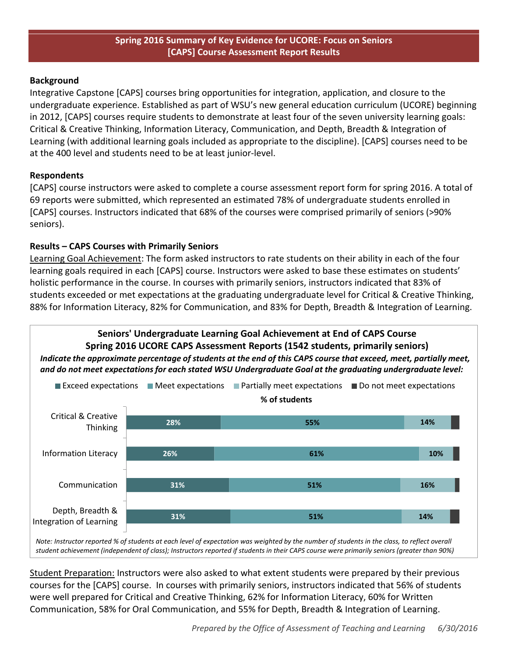#### **Spring 2016 Summary of Key Evidence for UCORE: Focus on Seniors [CAPS] Course Assessment Report Results**

#### **Background**

Integrative Capstone [CAPS] courses bring opportunities for integration, application, and closure to the undergraduate experience. Established as part of WSU's new general education curriculum (UCORE) beginning in 2012, [CAPS] courses require students to demonstrate at least four of the seven university learning goals: Critical & Creative Thinking, Information Literacy, Communication, and Depth, Breadth & Integration of Learning (with additional learning goals included as appropriate to the discipline). [CAPS] courses need to be at the 400 level and students need to be at least junior-level.

### **Respondents**

[CAPS] course instructors were asked to complete a course assessment report form for spring 2016. A total of 69 reports were submitted, which represented an estimated 78% of undergraduate students enrolled in [CAPS] courses. Instructors indicated that 68% of the courses were comprised primarily of seniors (>90% seniors).

### **Results – CAPS Courses with Primarily Seniors**

Depth, Breadth & Integration of Learning

Learning Goal Achievement: The form asked instructors to rate students on their ability in each of the four learning goals required in each [CAPS] course. Instructors were asked to base these estimates on students' holistic performance in the course. In courses with primarily seniors, instructors indicated that 83% of students exceeded or met expectations at the graduating undergraduate level for Critical & Creative Thinking, 88% for Information Literacy, 82% for Communication, and 83% for Depth, Breadth & Integration of Learning.



Note: Instructor reported % of students at each level of expectation was weighted by the number of students in the class, to reflect overall *student achievement (independent of class); Instructors reported if students in their CAPS course were primarily seniors (greater than 90%)*

**31%**

Student Preparation: Instructors were also asked to what extent students were prepared by their previous courses for the [CAPS] course. In courses with primarily seniors, instructors indicated that 56% of students were well prepared for Critical and Creative Thinking, 62% for Information Literacy, 60% for Written Communication, 58% for Oral Communication, and 55% for Depth, Breadth & Integration of Learning.

**51%**

**14%**